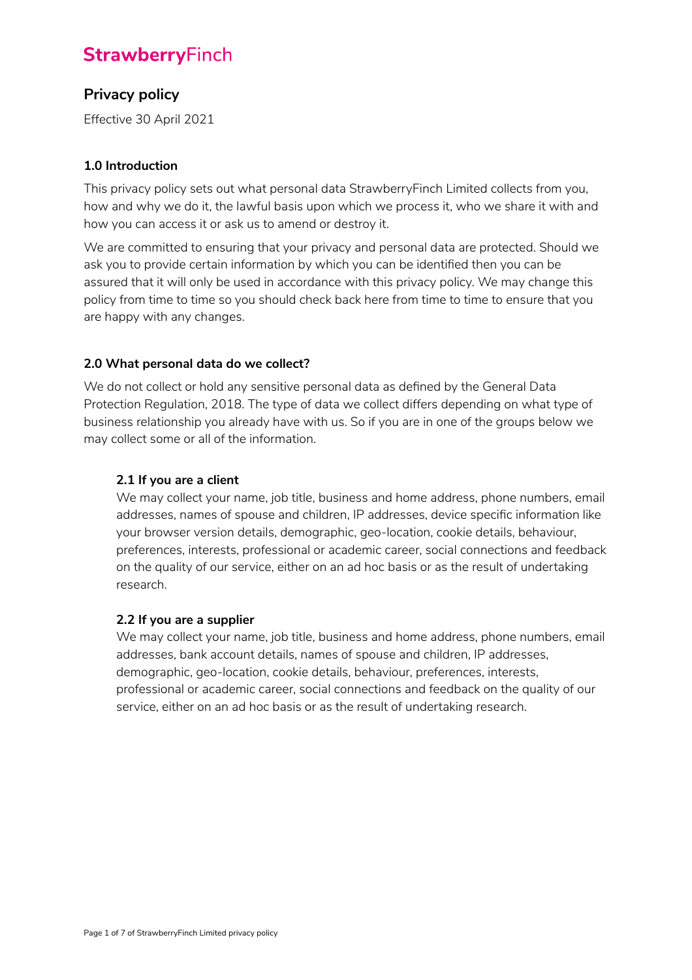# **StrawberryFinch**

# **Privacy policy**

Effective 30 April 2021

# **1.0 Introduction**

This privacy policy sets out what personal data StrawberryFinch Limited collects from you, how and why we do it, the lawful basis upon which we process it, who we share it with and how you can access it or ask us to amend or destroy it.

We are committed to ensuring that your privacy and personal data are protected. Should we ask you to provide certain information by which you can be identified then you can be assured that it will only be used in accordance with this privacy policy. We may change this policy from time to time so you should check back here from time to time to ensure that you are happy with any changes.

# **2.0 What personal data do we collect?**

We do not collect or hold any sensitive personal data as defined by the General Data Protection Regulation, 2018. The type of data we collect differs depending on what type of business relationship you already have with us. So if you are in one of the groups below we may collect some or all of the information.

# **2.1 If you are a client**

We may collect your name, job title, business and home address, phone numbers, email addresses, names of spouse and children, IP addresses, device specific information like your browser version details, demographic, geo-location, cookie details, behaviour, preferences, interests, professional or academic career, social connections and feedback on the quality of our service, either on an ad hoc basis or as the result of undertaking research.

#### **2.2 If you are a supplier**

We may collect your name, job title, business and home address, phone numbers, email addresses, bank account details, names of spouse and children, IP addresses, demographic, geo-location, cookie details, behaviour, preferences, interests, professional or academic career, social connections and feedback on the quality of our service, either on an ad hoc basis or as the result of undertaking research.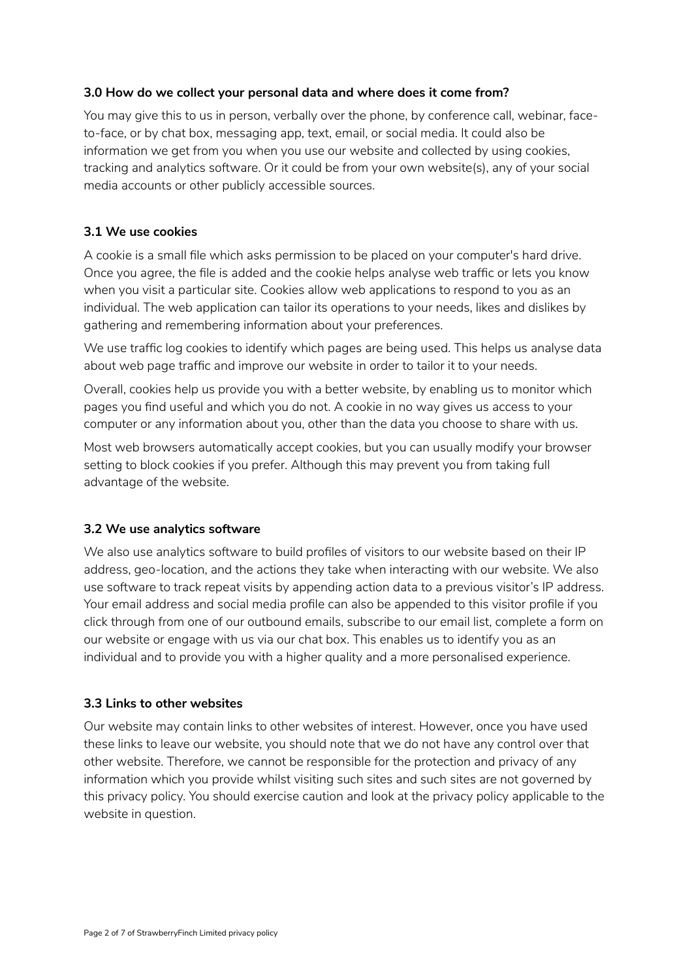#### **3.0 How do we collect your personal data and where does it come from?**

You may give this to us in person, verbally over the phone, by conference call, webinar, faceto-face, or by chat box, messaging app, text, email, or social media. It could also be information we get from you when you use our website and collected by using cookies, tracking and analytics software. Or it could be from your own website(s), any of your social media accounts or other publicly accessible sources.

### **3.1 We use cookies**

A cookie is a small file which asks permission to be placed on your computer's hard drive. Once you agree, the file is added and the cookie helps analyse web traffic or lets you know when you visit a particular site. Cookies allow web applications to respond to you as an individual. The web application can tailor its operations to your needs, likes and dislikes by gathering and remembering information about your preferences.

We use traffic log cookies to identify which pages are being used. This helps us analyse data about web page traffic and improve our website in order to tailor it to your needs.

Overall, cookies help us provide you with a better website, by enabling us to monitor which pages you find useful and which you do not. A cookie in no way gives us access to your computer or any information about you, other than the data you choose to share with us.

Most web browsers automatically accept cookies, but you can usually modify your browser setting to block cookies if you prefer. Although this may prevent you from taking full advantage of the website.

#### **3.2 We use analytics software**

We also use analytics software to build profiles of visitors to our website based on their IP address, geo-location, and the actions they take when interacting with our website. We also use software to track repeat visits by appending action data to a previous visitor's IP address. Your email address and social media profile can also be appended to this visitor profile if you click through from one of our outbound emails, subscribe to our email list, complete a form on our website or engage with us via our chat box. This enables us to identify you as an individual and to provide you with a higher quality and a more personalised experience.

# **3.3 Links to other websites**

Our website may contain links to other websites of interest. However, once you have used these links to leave our website, you should note that we do not have any control over that other website. Therefore, we cannot be responsible for the protection and privacy of any information which you provide whilst visiting such sites and such sites are not governed by this privacy policy. You should exercise caution and look at the privacy policy applicable to the website in question.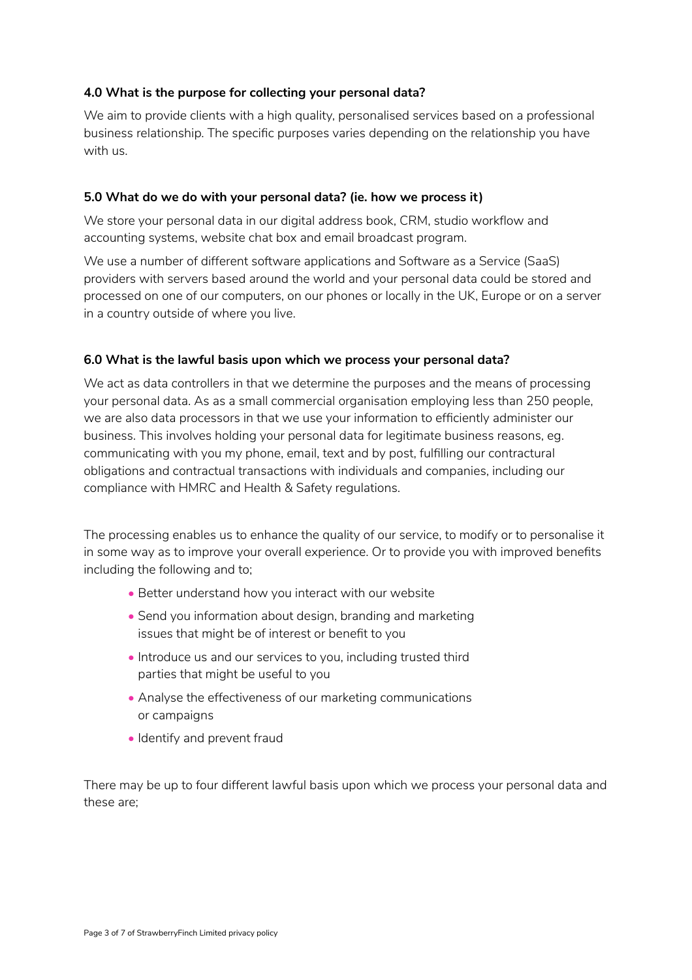#### **4.0 What is the purpose for collecting your personal data?**

We aim to provide clients with a high quality, personalised services based on a professional business relationship. The specific purposes varies depending on the relationship you have with us.

#### **5.0 What do we do with your personal data? (ie. how we process it)**

We store your personal data in our digital address book, CRM, studio workflow and accounting systems, website chat box and email broadcast program.

We use a number of different software applications and Software as a Service (SaaS) providers with servers based around the world and your personal data could be stored and processed on one of our computers, on our phones or locally in the UK, Europe or on a server in a country outside of where you live.

#### **6.0 What is the lawful basis upon which we process your personal data?**

We act as data controllers in that we determine the purposes and the means of processing your personal data. As as a small commercial organisation employing less than 250 people, we are also data processors in that we use your information to efficiently administer our business. This involves holding your personal data for legitimate business reasons, eg. communicating with you my phone, email, text and by post, fulfilling our contractural obligations and contractual transactions with individuals and companies, including our compliance with HMRC and Health & Safety regulations.

The processing enables us to enhance the quality of our service, to modify or to personalise it in some way as to improve your overall experience. Or to provide you with improved benefits including the following and to;

- Better understand how you interact with our website
- Send you information about design, branding and marketing issues that might be of interest or benefit to you
- Introduce us and our services to you, including trusted third parties that might be useful to you
- Analyse the effectiveness of our marketing communications or campaigns
- Identify and prevent fraud

There may be up to four different lawful basis upon which we process your personal data and these are;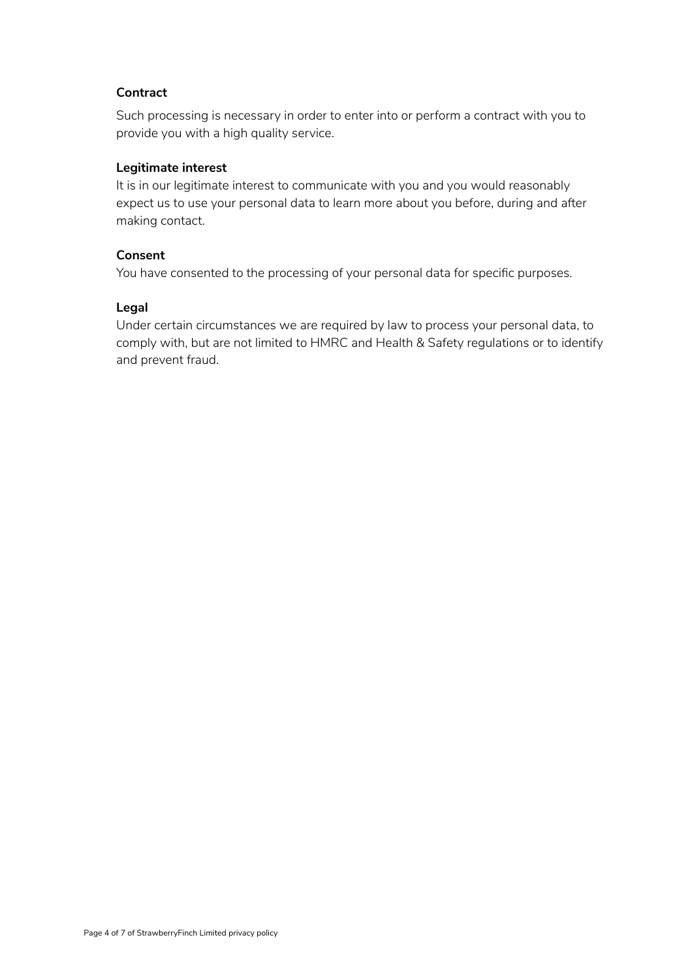#### **Contract**

Such processing is necessary in order to enter into or perform a contract with you to provide you with a high quality service.

#### **Legitimate interest**

It is in our legitimate interest to communicate with you and you would reasonably expect us to use your personal data to learn more about you before, during and after making contact.

#### **Consent**

You have consented to the processing of your personal data for specific purposes.

#### **Legal**

Under certain circumstances we are required by law to process your personal data, to comply with, but are not limited to HMRC and Health & Safety regulations or to identify and prevent fraud.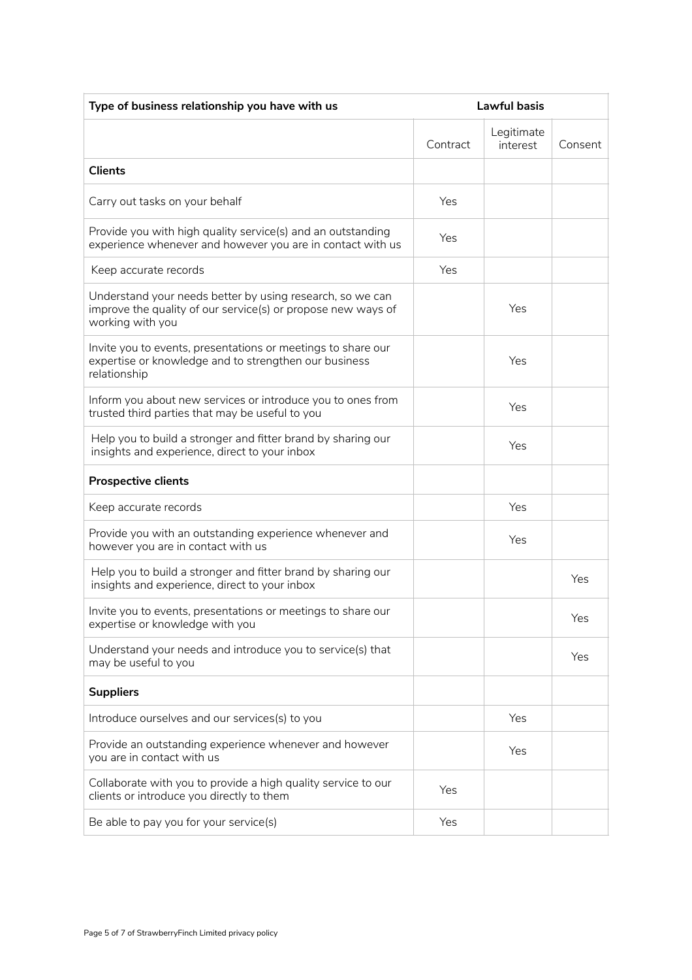| Type of business relationship you have with us                                                                                                | Lawful basis |                        |         |  |
|-----------------------------------------------------------------------------------------------------------------------------------------------|--------------|------------------------|---------|--|
|                                                                                                                                               | Contract     | Legitimate<br>interest | Consent |  |
| <b>Clients</b>                                                                                                                                |              |                        |         |  |
| Carry out tasks on your behalf                                                                                                                | Yes          |                        |         |  |
| Provide you with high quality service(s) and an outstanding<br>experience whenever and however you are in contact with us                     | Yes          |                        |         |  |
| Keep accurate records                                                                                                                         | Yes          |                        |         |  |
| Understand your needs better by using research, so we can<br>improve the quality of our service(s) or propose new ways of<br>working with you |              | Yes                    |         |  |
| Invite you to events, presentations or meetings to share our<br>expertise or knowledge and to strengthen our business<br>relationship         |              | Yes                    |         |  |
| Inform you about new services or introduce you to ones from<br>trusted third parties that may be useful to you                                |              | Yes                    |         |  |
| Help you to build a stronger and fitter brand by sharing our<br>insights and experience, direct to your inbox                                 |              | Yes                    |         |  |
| <b>Prospective clients</b>                                                                                                                    |              |                        |         |  |
| Keep accurate records                                                                                                                         |              | Yes                    |         |  |
| Provide you with an outstanding experience whenever and<br>however you are in contact with us                                                 |              | Yes                    |         |  |
| Help you to build a stronger and fitter brand by sharing our<br>insights and experience, direct to your inbox                                 |              |                        | Yes     |  |
| Invite you to events, presentations or meetings to share our<br>expertise or knowledge with you                                               |              |                        | Yes     |  |
| Understand your needs and introduce you to service(s) that<br>may be useful to you                                                            |              |                        | Yes     |  |
| <b>Suppliers</b>                                                                                                                              |              |                        |         |  |
| Introduce ourselves and our services(s) to you                                                                                                |              | Yes                    |         |  |
| Provide an outstanding experience whenever and however<br>you are in contact with us                                                          |              | Yes                    |         |  |
| Collaborate with you to provide a high quality service to our<br>clients or introduce you directly to them                                    | Yes          |                        |         |  |
| Be able to pay you for your service(s)                                                                                                        | Yes          |                        |         |  |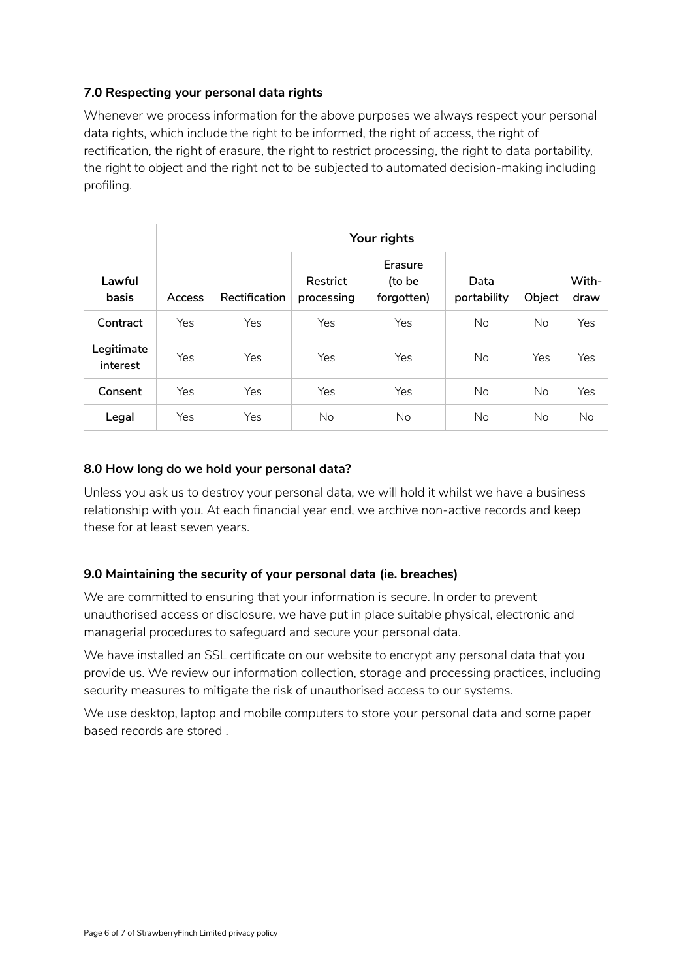# **7.0 Respecting your personal data rights**

Whenever we process information for the above purposes we always respect your personal data rights, which include the right to be informed, the right of access, the right of rectification, the right of erasure, the right to restrict processing, the right to data portability, the right to object and the right not to be subjected to automated decision-making including profiling.

|                        | Your rights |               |                        |                                 |                     |           |               |  |
|------------------------|-------------|---------------|------------------------|---------------------------------|---------------------|-----------|---------------|--|
| Lawful<br>basis        | Access      | Rectification | Restrict<br>processing | Erasure<br>(to be<br>forgotten) | Data<br>portability | Object    | With-<br>draw |  |
| Contract               | Yes         | Yes           | Yes                    | Yes                             | No.                 | <b>No</b> | Yes           |  |
| Legitimate<br>interest | Yes         | Yes           | <b>Yes</b>             | Yes                             | No.                 | Yes       | Yes           |  |
| Consent                | Yes         | Yes           | Yes                    | Yes                             | No.                 | No.       | Yes           |  |
| Legal                  | Yes         | Yes           | No.                    | No.                             | No                  | No        | No            |  |

#### **8.0 How long do we hold your personal data?**

Unless you ask us to destroy your personal data, we will hold it whilst we have a business relationship with you. At each financial year end, we archive non-active records and keep these for at least seven years.

# **9.0 Maintaining the security of your personal data (ie. breaches)**

We are committed to ensuring that your information is secure. In order to prevent unauthorised access or disclosure, we have put in place suitable physical, electronic and managerial procedures to safeguard and secure your personal data.

We have installed an SSL certificate on our website to encrypt any personal data that you provide us. We review our information collection, storage and processing practices, including security measures to mitigate the risk of unauthorised access to our systems.

We use desktop, laptop and mobile computers to store your personal data and some paper based records are stored .